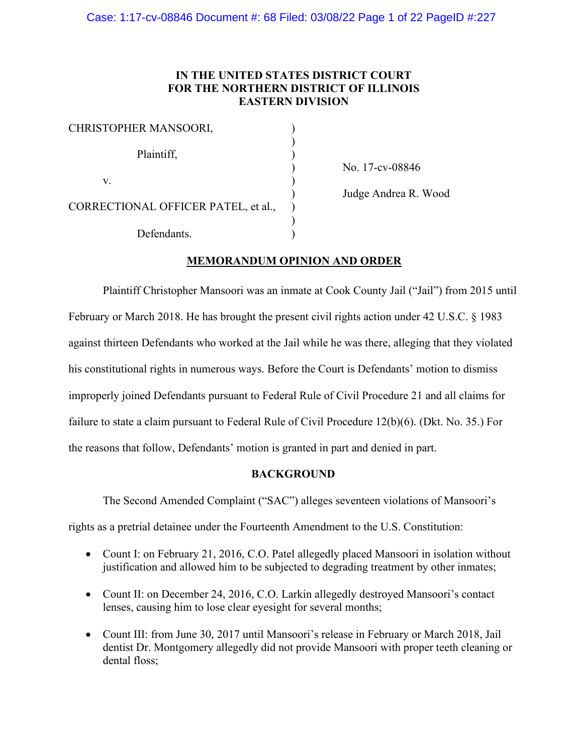# **IN THE UNITED STATES DISTRICT COURT FOR THE NORTHERN DISTRICT OF ILLINOIS EASTERN DIVISION**

| CHRISTOPHER MANSOORI,               |  |
|-------------------------------------|--|
| Plaintiff,                          |  |
| V.                                  |  |
| CORRECTIONAL OFFICER PATEL, et al., |  |
| Defendants.                         |  |

) No. 17-cv-08846

) Judge Andrea R. Wood

# **MEMORANDUM OPINION AND ORDER**

Plaintiff Christopher Mansoori was an inmate at Cook County Jail ("Jail") from 2015 until February or March 2018. He has brought the present civil rights action under 42 U.S.C. § 1983 against thirteen Defendants who worked at the Jail while he was there, alleging that they violated his constitutional rights in numerous ways. Before the Court is Defendants' motion to dismiss improperly joined Defendants pursuant to Federal Rule of Civil Procedure 21 and all claims for failure to state a claim pursuant to Federal Rule of Civil Procedure 12(b)(6). (Dkt. No. 35.) For the reasons that follow, Defendants' motion is granted in part and denied in part.

## **BACKGROUND**

The Second Amended Complaint ("SAC") alleges seventeen violations of Mansoori's

rights as a pretrial detainee under the Fourteenth Amendment to the U.S. Constitution:

- Count I: on February 21, 2016, C.O. Patel allegedly placed Mansoori in isolation without justification and allowed him to be subjected to degrading treatment by other inmates;
- Count II: on December 24, 2016, C.O. Larkin allegedly destroyed Mansoori's contact lenses, causing him to lose clear eyesight for several months;
- Count III: from June 30, 2017 until Mansoori's release in February or March 2018, Jail dentist Dr. Montgomery allegedly did not provide Mansoori with proper teeth cleaning or dental floss;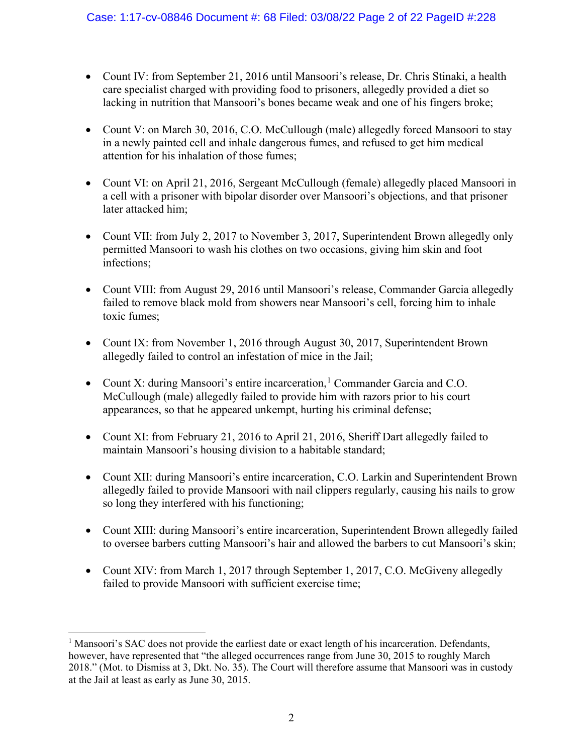- Count IV: from September 21, 2016 until Mansoori's release, Dr. Chris Stinaki, a health care specialist charged with providing food to prisoners, allegedly provided a diet so lacking in nutrition that Mansoori's bones became weak and one of his fingers broke;
- Count V: on March 30, 2016, C.O. McCullough (male) allegedly forced Mansoori to stay in a newly painted cell and inhale dangerous fumes, and refused to get him medical attention for his inhalation of those fumes;
- Count VI: on April 21, 2016, Sergeant McCullough (female) allegedly placed Mansoori in a cell with a prisoner with bipolar disorder over Mansoori's objections, and that prisoner later attacked him;
- Count VII: from July 2, 2017 to November 3, 2017, Superintendent Brown allegedly only permitted Mansoori to wash his clothes on two occasions, giving him skin and foot infections;
- Count VIII: from August 29, 2016 until Mansoori's release, Commander Garcia allegedly failed to remove black mold from showers near Mansoori's cell, forcing him to inhale toxic fumes;
- Count IX: from November 1, 2016 through August 30, 2017, Superintendent Brown allegedly failed to control an infestation of mice in the Jail;
- Count X: during Mansoori's entire incarceration,<sup>[1](#page-1-0)</sup> Commander Garcia and C.O. McCullough (male) allegedly failed to provide him with razors prior to his court appearances, so that he appeared unkempt, hurting his criminal defense;
- Count XI: from February 21, 2016 to April 21, 2016, Sheriff Dart allegedly failed to maintain Mansoori's housing division to a habitable standard;
- Count XII: during Mansoori's entire incarceration, C.O. Larkin and Superintendent Brown allegedly failed to provide Mansoori with nail clippers regularly, causing his nails to grow so long they interfered with his functioning;
- Count XIII: during Mansoori's entire incarceration, Superintendent Brown allegedly failed to oversee barbers cutting Mansoori's hair and allowed the barbers to cut Mansoori's skin;
- Count XIV: from March 1, 2017 through September 1, 2017, C.O. McGiveny allegedly failed to provide Mansoori with sufficient exercise time;

<span id="page-1-0"></span><sup>&</sup>lt;sup>1</sup> Mansoori's SAC does not provide the earliest date or exact length of his incarceration. Defendants, however, have represented that "the alleged occurrences range from June 30, 2015 to roughly March 2018." (Mot. to Dismiss at 3, Dkt. No. 35). The Court will therefore assume that Mansoori was in custody at the Jail at least as early as June 30, 2015.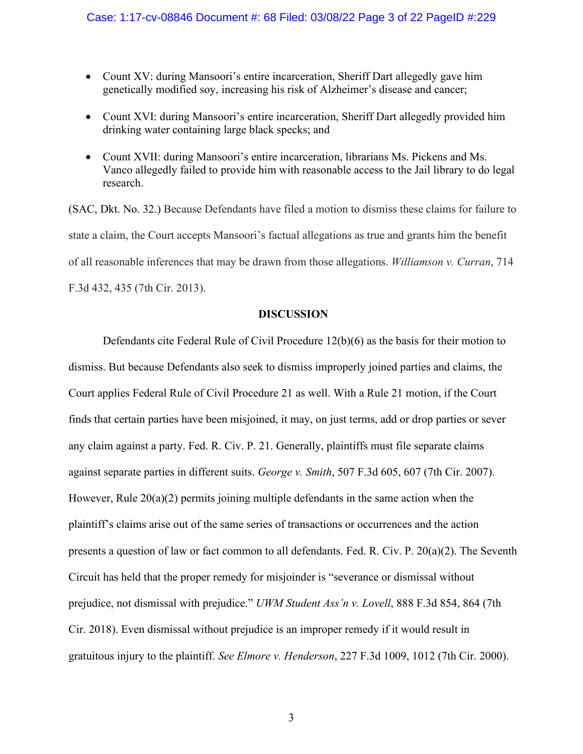- Count XV: during Mansoori's entire incarceration, Sheriff Dart allegedly gave him genetically modified soy, increasing his risk of Alzheimer's disease and cancer;
- Count XVI: during Mansoori's entire incarceration, Sheriff Dart allegedly provided him drinking water containing large black specks; and
- Count XVII: during Mansoori's entire incarceration, librarians Ms. Pickens and Ms. Vanco allegedly failed to provide him with reasonable access to the Jail library to do legal research.

(SAC, Dkt. No. 32.) Because Defendants have filed a motion to dismiss these claims for failure to state a claim, the Court accepts Mansoori's factual allegations as true and grants him the benefit of all reasonable inferences that may be drawn from those allegations. *Williamson v. Curran*, 714 F.3d 432, 435 (7th Cir. 2013).

## **DISCUSSION**

Defendants cite Federal Rule of Civil Procedure 12(b)(6) as the basis for their motion to dismiss. But because Defendants also seek to dismiss improperly joined parties and claims, the Court applies Federal Rule of Civil Procedure 21 as well. With a Rule 21 motion, if the Court finds that certain parties have been misjoined, it may, on just terms, add or drop parties or sever any claim against a party. Fed. R. Civ. P. 21. Generally, plaintiffs must file separate claims against separate parties in different suits. *George v. Smith*, 507 F.3d 605, 607 (7th Cir. 2007). However, Rule  $20(a)(2)$  permits joining multiple defendants in the same action when the plaintiff's claims arise out of the same series of transactions or occurrences and the action presents a question of law or fact common to all defendants. Fed. R. Civ. P. 20(a)(2). The Seventh Circuit has held that the proper remedy for misjoinder is "severance or dismissal without prejudice, not dismissal with prejudice." *UWM Student Ass'n v. Lovell*, 888 F.3d 854, 864 (7th Cir. 2018). Even dismissal without prejudice is an improper remedy if it would result in gratuitous injury to the plaintiff. *See Elmore v. Henderson*, 227 F.3d 1009, 1012 (7th Cir. 2000).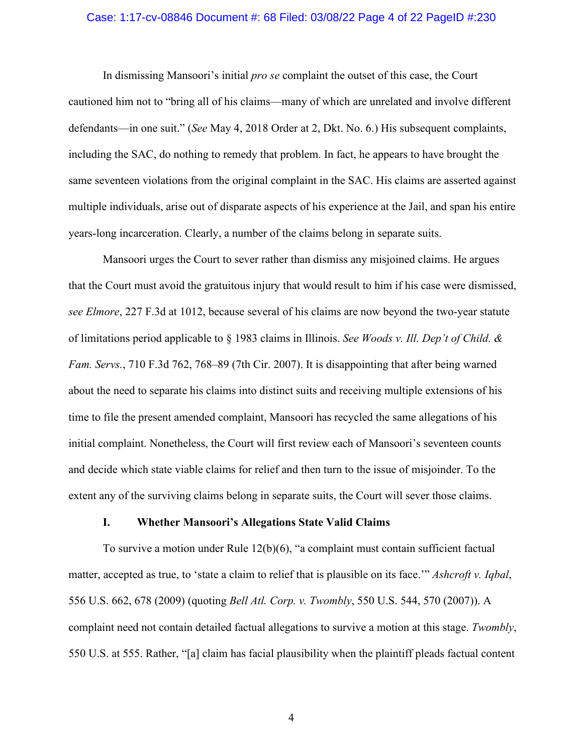## Case: 1:17-cv-08846 Document #: 68 Filed: 03/08/22 Page 4 of 22 PageID #:230

In dismissing Mansoori's initial *pro se* complaint the outset of this case, the Court cautioned him not to "bring all of his claims—many of which are unrelated and involve different defendants—in one suit." (*See* May 4, 2018 Order at 2, Dkt. No. 6.) His subsequent complaints, including the SAC, do nothing to remedy that problem. In fact, he appears to have brought the same seventeen violations from the original complaint in the SAC. His claims are asserted against multiple individuals, arise out of disparate aspects of his experience at the Jail, and span his entire years-long incarceration. Clearly, a number of the claims belong in separate suits.

Mansoori urges the Court to sever rather than dismiss any misjoined claims. He argues that the Court must avoid the gratuitous injury that would result to him if his case were dismissed, *see Elmore*, 227 F.3d at 1012, because several of his claims are now beyond the two-year statute of limitations period applicable to § 1983 claims in Illinois. *See Woods v. Ill. Dep't of Child. & Fam. Servs.*, 710 F.3d 762, 768–89 (7th Cir. 2007). It is disappointing that after being warned about the need to separate his claims into distinct suits and receiving multiple extensions of his time to file the present amended complaint, Mansoori has recycled the same allegations of his initial complaint. Nonetheless, the Court will first review each of Mansoori's seventeen counts and decide which state viable claims for relief and then turn to the issue of misjoinder. To the extent any of the surviving claims belong in separate suits, the Court will sever those claims.

## **I. Whether Mansoori's Allegations State Valid Claims**

To survive a motion under Rule 12(b)(6), "a complaint must contain sufficient factual matter, accepted as true, to 'state a claim to relief that is plausible on its face.'" *Ashcroft v. Iqbal*, 556 U.S. 662, 678 (2009) (quoting *Bell Atl. Corp. v. Twombly*, 550 U.S. 544, 570 (2007)). A complaint need not contain detailed factual allegations to survive a motion at this stage. *Twombly*, 550 U.S. at 555. Rather, "[a] claim has facial plausibility when the plaintiff pleads factual content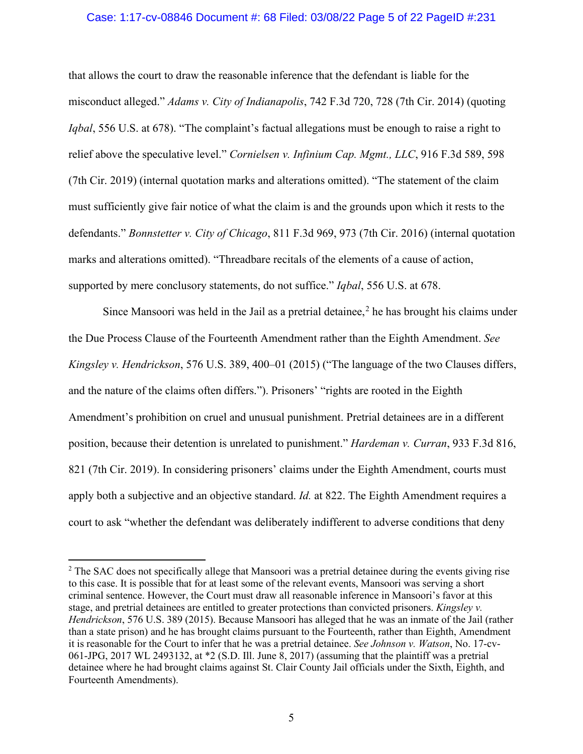## Case: 1:17-cv-08846 Document #: 68 Filed: 03/08/22 Page 5 of 22 PageID #:231

that allows the court to draw the reasonable inference that the defendant is liable for the misconduct alleged." *Adams v. City of Indianapolis*, 742 F.3d 720, 728 (7th Cir. 2014) (quoting *Igbal*, 556 U.S. at 678). "The complaint's factual allegations must be enough to raise a right to relief above the speculative level." *Cornielsen v. Infinium Cap. Mgmt., LLC*, 916 F.3d 589, 598 (7th Cir. 2019) (internal quotation marks and alterations omitted). "The statement of the claim must sufficiently give fair notice of what the claim is and the grounds upon which it rests to the defendants." *Bonnstetter v. City of Chicago*, 811 F.3d 969, 973 (7th Cir. 2016) (internal quotation marks and alterations omitted). "Threadbare recitals of the elements of a cause of action, supported by mere conclusory statements, do not suffice." *Iqbal*, 556 U.S. at 678.

Since Mansoori was held in the Jail as a pretrial detainee,<sup>[2](#page-4-0)</sup> he has brought his claims under the Due Process Clause of the Fourteenth Amendment rather than the Eighth Amendment. *See Kingsley v. Hendrickson*, 576 U.S. 389, 400–01 (2015) ("The language of the two Clauses differs, and the nature of the claims often differs."). Prisoners' "rights are rooted in the Eighth Amendment's prohibition on cruel and unusual punishment. Pretrial detainees are in a different position, because their detention is unrelated to punishment." *Hardeman v. Curran*, 933 F.3d 816, 821 (7th Cir. 2019). In considering prisoners' claims under the Eighth Amendment, courts must apply both a subjective and an objective standard. *Id.* at 822. The Eighth Amendment requires a court to ask "whether the defendant was deliberately indifferent to adverse conditions that deny

<span id="page-4-0"></span><sup>&</sup>lt;sup>2</sup> The SAC does not specifically allege that Mansoori was a pretrial detainee during the events giving rise to this case. It is possible that for at least some of the relevant events, Mansoori was serving a short criminal sentence. However, the Court must draw all reasonable inference in Mansoori's favor at this stage, and pretrial detainees are entitled to greater protections than convicted prisoners. *Kingsley v. Hendrickson*, 576 U.S. 389 (2015). Because Mansoori has alleged that he was an inmate of the Jail (rather than a state prison) and he has brought claims pursuant to the Fourteenth, rather than Eighth, Amendment it is reasonable for the Court to infer that he was a pretrial detainee. *See Johnson v. Watson*, No. 17-cv-061-JPG, 2017 WL 2493132, at \*2 (S.D. Ill. June 8, 2017) (assuming that the plaintiff was a pretrial detainee where he had brought claims against St. Clair County Jail officials under the Sixth, Eighth, and Fourteenth Amendments).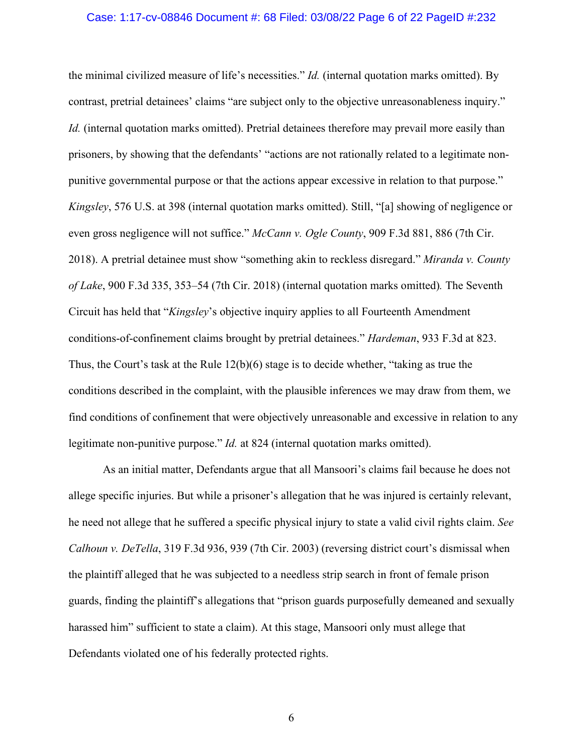#### Case: 1:17-cv-08846 Document #: 68 Filed: 03/08/22 Page 6 of 22 PageID #:232

the minimal civilized measure of life's necessities." *Id.* (internal quotation marks omitted). By contrast, pretrial detainees' claims "are subject only to the objective unreasonableness inquiry." *Id.* (internal quotation marks omitted). Pretrial detainees therefore may prevail more easily than prisoners, by showing that the defendants' "actions are not rationally related to a legitimate nonpunitive governmental purpose or that the actions appear excessive in relation to that purpose." *Kingsley*, 576 U.S. at 398 (internal quotation marks omitted). Still, "[a] showing of negligence or even gross negligence will not suffice." *McCann v. Ogle County*, 909 F.3d 881, 886 (7th Cir. 2018). A pretrial detainee must show "something akin to reckless disregard." *Miranda v. County of Lake*, 900 F.3d 335, 353–54 (7th Cir. 2018) (internal quotation marks omitted)*.* The Seventh Circuit has held that "*Kingsley*'s objective inquiry applies to all Fourteenth Amendment conditions-of-confinement claims brought by pretrial detainees." *Hardeman*, 933 F.3d at 823. Thus, the Court's task at the Rule 12(b)(6) stage is to decide whether, "taking as true the conditions described in the complaint, with the plausible inferences we may draw from them, we find conditions of confinement that were objectively unreasonable and excessive in relation to any legitimate non-punitive purpose." *Id.* at 824 (internal quotation marks omitted).

As an initial matter, Defendants argue that all Mansoori's claims fail because he does not allege specific injuries. But while a prisoner's allegation that he was injured is certainly relevant, he need not allege that he suffered a specific physical injury to state a valid civil rights claim. *See Calhoun v. DeTella*, 319 F.3d 936, 939 (7th Cir. 2003) (reversing district court's dismissal when the plaintiff alleged that he was subjected to a needless strip search in front of female prison guards, finding the plaintiff's allegations that "prison guards purposefully demeaned and sexually harassed him" sufficient to state a claim). At this stage, Mansoori only must allege that Defendants violated one of his federally protected rights.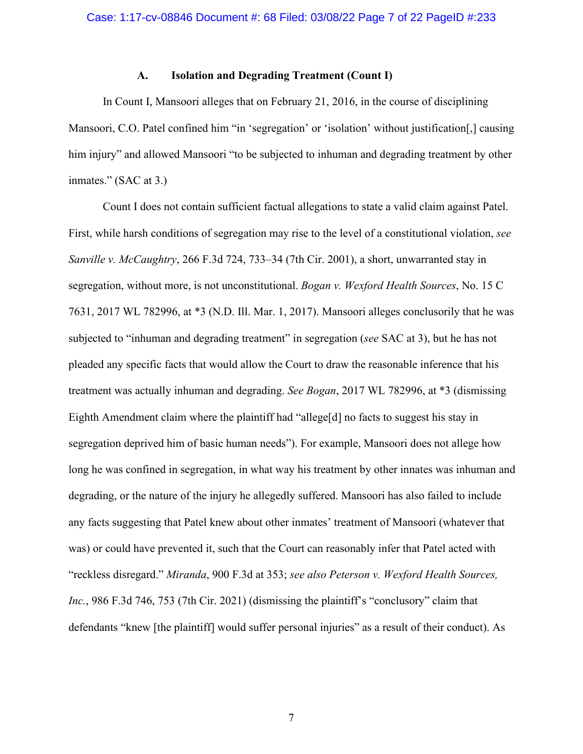## **A. Isolation and Degrading Treatment (Count I)**

In Count I, Mansoori alleges that on February 21, 2016, in the course of disciplining Mansoori, C.O. Patel confined him "in 'segregation' or 'isolation' without justification[,] causing him injury" and allowed Mansoori "to be subjected to inhuman and degrading treatment by other inmates." (SAC at 3.)

Count I does not contain sufficient factual allegations to state a valid claim against Patel. First, while harsh conditions of segregation may rise to the level of a constitutional violation, *see Sanville v. McCaughtry*, 266 F.3d 724, 733–34 (7th Cir. 2001), a short, unwarranted stay in segregation, without more, is not unconstitutional. *Bogan v. Wexford Health Sources*, No. 15 C 7631, 2017 WL 782996, at \*3 (N.D. Ill. Mar. 1, 2017). Mansoori alleges conclusorily that he was subjected to "inhuman and degrading treatment" in segregation (*see* SAC at 3), but he has not pleaded any specific facts that would allow the Court to draw the reasonable inference that his treatment was actually inhuman and degrading. *See Bogan*, 2017 WL 782996, at \*3 (dismissing Eighth Amendment claim where the plaintiff had "allege[d] no facts to suggest his stay in segregation deprived him of basic human needs"). For example, Mansoori does not allege how long he was confined in segregation, in what way his treatment by other innates was inhuman and degrading, or the nature of the injury he allegedly suffered. Mansoori has also failed to include any facts suggesting that Patel knew about other inmates' treatment of Mansoori (whatever that was) or could have prevented it, such that the Court can reasonably infer that Patel acted with "reckless disregard." *Miranda*, 900 F.3d at 353; *see also Peterson v. Wexford Health Sources, Inc.*, 986 F.3d 746, 753 (7th Cir. 2021) (dismissing the plaintiff's "conclusory" claim that defendants "knew [the plaintiff] would suffer personal injuries" as a result of their conduct). As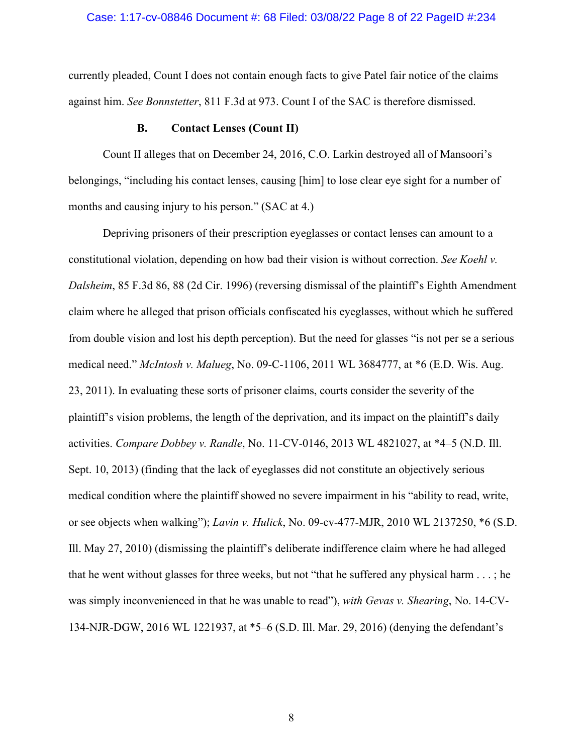### Case: 1:17-cv-08846 Document #: 68 Filed: 03/08/22 Page 8 of 22 PageID #:234

currently pleaded, Count I does not contain enough facts to give Patel fair notice of the claims against him. *See Bonnstetter*, 811 F.3d at 973. Count I of the SAC is therefore dismissed.

#### **B. Contact Lenses (Count II)**

Count II alleges that on December 24, 2016, C.O. Larkin destroyed all of Mansoori's belongings, "including his contact lenses, causing [him] to lose clear eye sight for a number of months and causing injury to his person." (SAC at 4.)

Depriving prisoners of their prescription eyeglasses or contact lenses can amount to a constitutional violation, depending on how bad their vision is without correction. *See Koehl v. Dalsheim*, 85 F.3d 86, 88 (2d Cir. 1996) (reversing dismissal of the plaintiff's Eighth Amendment claim where he alleged that prison officials confiscated his eyeglasses, without which he suffered from double vision and lost his depth perception). But the need for glasses "is not per se a serious medical need." *McIntosh v. Malueg*, No. 09-C-1106, 2011 WL 3684777, at \*6 (E.D. Wis. Aug. 23, 2011). In evaluating these sorts of prisoner claims, courts consider the severity of the plaintiff's vision problems, the length of the deprivation, and its impact on the plaintiff's daily activities. *Compare Dobbey v. Randle*, No. 11-CV-0146, 2013 WL 4821027, at \*4–5 (N.D. Ill. Sept. 10, 2013) (finding that the lack of eyeglasses did not constitute an objectively serious medical condition where the plaintiff showed no severe impairment in his "ability to read, write, or see objects when walking"); *Lavin v. Hulick*, No. 09-cv-477-MJR, 2010 WL 2137250, \*6 (S.D. Ill. May 27, 2010) (dismissing the plaintiff's deliberate indifference claim where he had alleged that he went without glasses for three weeks, but not "that he suffered any physical harm . . . ; he was simply inconvenienced in that he was unable to read"), *with Gevas v. Shearing*, No. 14-CV-134-NJR-DGW, 2016 WL 1221937, at \*5–6 (S.D. Ill. Mar. 29, 2016) (denying the defendant's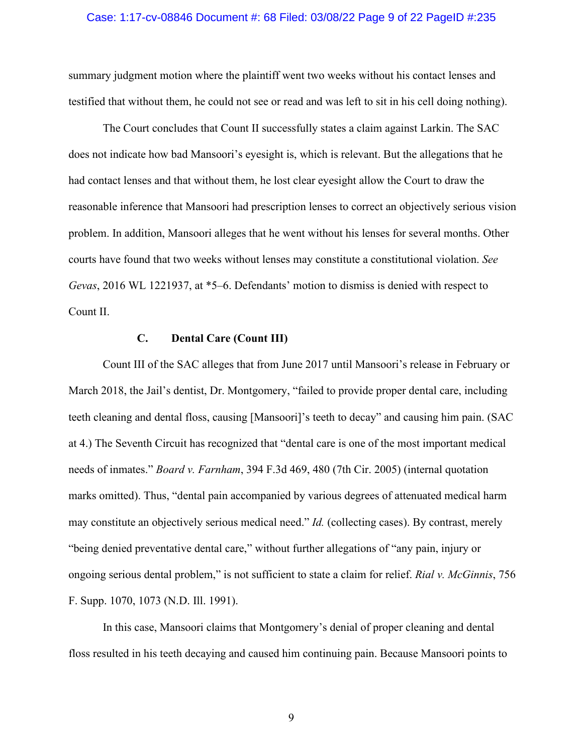### Case: 1:17-cv-08846 Document #: 68 Filed: 03/08/22 Page 9 of 22 PageID #:235

summary judgment motion where the plaintiff went two weeks without his contact lenses and testified that without them, he could not see or read and was left to sit in his cell doing nothing).

The Court concludes that Count II successfully states a claim against Larkin. The SAC does not indicate how bad Mansoori's eyesight is, which is relevant. But the allegations that he had contact lenses and that without them, he lost clear eyesight allow the Court to draw the reasonable inference that Mansoori had prescription lenses to correct an objectively serious vision problem. In addition, Mansoori alleges that he went without his lenses for several months. Other courts have found that two weeks without lenses may constitute a constitutional violation. *See Gevas*, 2016 WL 1221937, at \*5–6. Defendants' motion to dismiss is denied with respect to Count II.

## **C. Dental Care (Count III)**

Count III of the SAC alleges that from June 2017 until Mansoori's release in February or March 2018, the Jail's dentist, Dr. Montgomery, "failed to provide proper dental care, including teeth cleaning and dental floss, causing [Mansoori]'s teeth to decay" and causing him pain. (SAC at 4.) The Seventh Circuit has recognized that "dental care is one of the most important medical needs of inmates." *Board v. Farnham*, 394 F.3d 469, 480 (7th Cir. 2005) (internal quotation marks omitted). Thus, "dental pain accompanied by various degrees of attenuated medical harm may constitute an objectively serious medical need." *Id.* (collecting cases). By contrast, merely "being denied preventative dental care," without further allegations of "any pain, injury or ongoing serious dental problem," is not sufficient to state a claim for relief. *Rial v. McGinnis*, 756 F. Supp. 1070, 1073 (N.D. Ill. 1991).

In this case, Mansoori claims that Montgomery's denial of proper cleaning and dental floss resulted in his teeth decaying and caused him continuing pain. Because Mansoori points to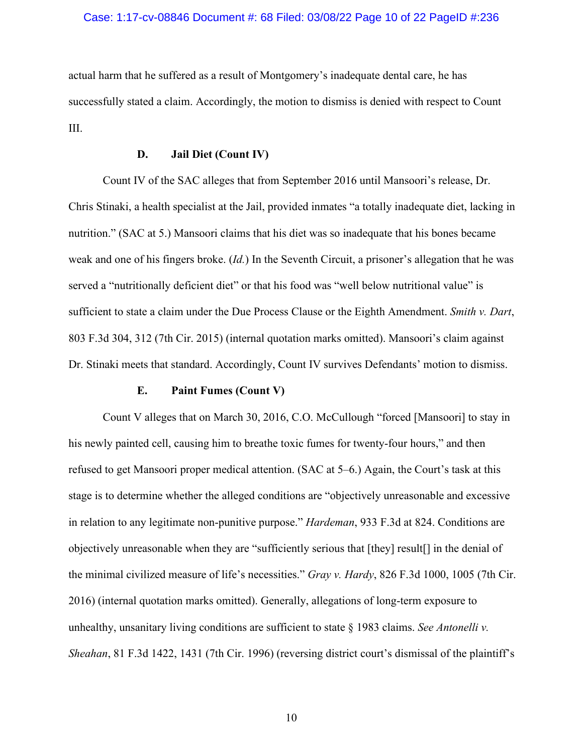## Case: 1:17-cv-08846 Document #: 68 Filed: 03/08/22 Page 10 of 22 PageID #:236

actual harm that he suffered as a result of Montgomery's inadequate dental care, he has successfully stated a claim. Accordingly, the motion to dismiss is denied with respect to Count III.

## **D. Jail Diet (Count IV)**

Count IV of the SAC alleges that from September 2016 until Mansoori's release, Dr. Chris Stinaki, a health specialist at the Jail, provided inmates "a totally inadequate diet, lacking in nutrition." (SAC at 5.) Mansoori claims that his diet was so inadequate that his bones became weak and one of his fingers broke. (*Id.*) In the Seventh Circuit, a prisoner's allegation that he was served a "nutritionally deficient diet" or that his food was "well below nutritional value" is sufficient to state a claim under the Due Process Clause or the Eighth Amendment. *Smith v. Dart*, 803 F.3d 304, 312 (7th Cir. 2015) (internal quotation marks omitted). Mansoori's claim against Dr. Stinaki meets that standard. Accordingly, Count IV survives Defendants' motion to dismiss.

## **E. Paint Fumes (Count V)**

Count V alleges that on March 30, 2016, C.O. McCullough "forced [Mansoori] to stay in his newly painted cell, causing him to breathe toxic fumes for twenty-four hours," and then refused to get Mansoori proper medical attention. (SAC at 5–6.) Again, the Court's task at this stage is to determine whether the alleged conditions are "objectively unreasonable and excessive in relation to any legitimate non-punitive purpose." *Hardeman*, 933 F.3d at 824. Conditions are objectively unreasonable when they are "sufficiently serious that [they] result[] in the denial of the minimal civilized measure of life's necessities." *Gray v. Hardy*, 826 F.3d 1000, 1005 (7th Cir. 2016) (internal quotation marks omitted). Generally, allegations of long-term exposure to unhealthy, unsanitary living conditions are sufficient to state § 1983 claims. *See Antonelli v. Sheahan*, 81 F.3d 1422, 1431 (7th Cir. 1996) (reversing district court's dismissal of the plaintiff's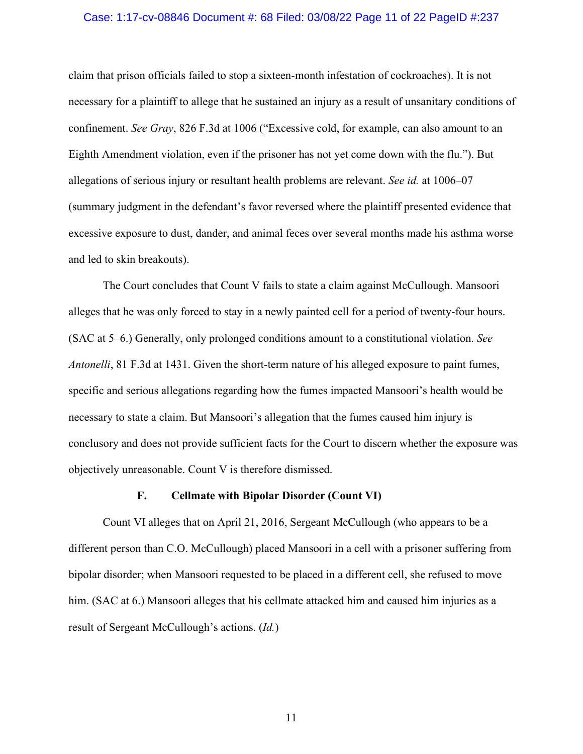### Case: 1:17-cv-08846 Document #: 68 Filed: 03/08/22 Page 11 of 22 PageID #:237

claim that prison officials failed to stop a sixteen-month infestation of cockroaches). It is not necessary for a plaintiff to allege that he sustained an injury as a result of unsanitary conditions of confinement. *See Gray*, 826 F.3d at 1006 ("Excessive cold, for example, can also amount to an Eighth Amendment violation, even if the prisoner has not yet come down with the flu."). But allegations of serious injury or resultant health problems are relevant. *See id.* at 1006–07 (summary judgment in the defendant's favor reversed where the plaintiff presented evidence that excessive exposure to dust, dander, and animal feces over several months made his asthma worse and led to skin breakouts).

The Court concludes that Count V fails to state a claim against McCullough. Mansoori alleges that he was only forced to stay in a newly painted cell for a period of twenty-four hours. (SAC at 5–6.) Generally, only prolonged conditions amount to a constitutional violation. *See Antonelli*, 81 F.3d at 1431. Given the short-term nature of his alleged exposure to paint fumes, specific and serious allegations regarding how the fumes impacted Mansoori's health would be necessary to state a claim. But Mansoori's allegation that the fumes caused him injury is conclusory and does not provide sufficient facts for the Court to discern whether the exposure was objectively unreasonable. Count V is therefore dismissed.

## **F. Cellmate with Bipolar Disorder (Count VI)**

Count VI alleges that on April 21, 2016, Sergeant McCullough (who appears to be a different person than C.O. McCullough) placed Mansoori in a cell with a prisoner suffering from bipolar disorder; when Mansoori requested to be placed in a different cell, she refused to move him. (SAC at 6.) Mansoori alleges that his cellmate attacked him and caused him injuries as a result of Sergeant McCullough's actions. (*Id.*)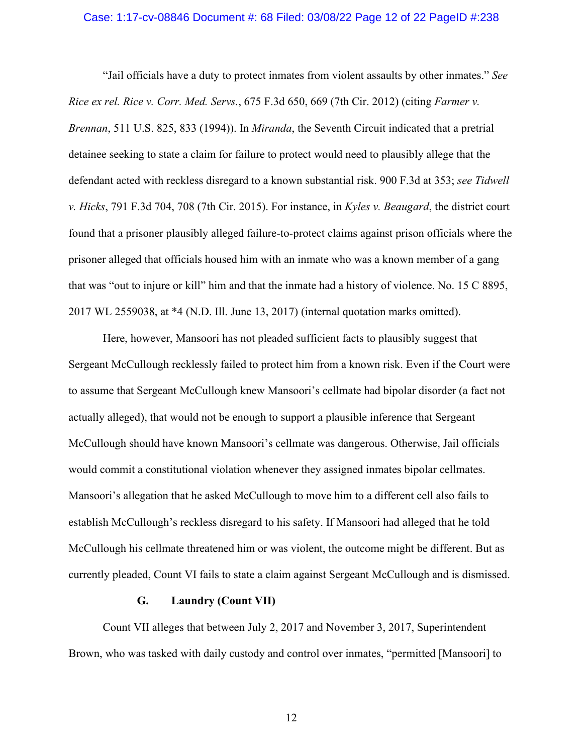#### Case: 1:17-cv-08846 Document #: 68 Filed: 03/08/22 Page 12 of 22 PageID #:238

"Jail officials have a duty to protect inmates from violent assaults by other inmates." *See Rice ex rel. Rice v. Corr. Med. Servs.*, 675 F.3d 650, 669 (7th Cir. 2012) (citing *Farmer v. Brennan*, 511 U.S. 825, 833 (1994)). In *Miranda*, the Seventh Circuit indicated that a pretrial detainee seeking to state a claim for failure to protect would need to plausibly allege that the defendant acted with reckless disregard to a known substantial risk. 900 F.3d at 353; *see Tidwell v. Hicks*, 791 F.3d 704, 708 (7th Cir. 2015). For instance, in *Kyles v. Beaugard*, the district court found that a prisoner plausibly alleged failure-to-protect claims against prison officials where the prisoner alleged that officials housed him with an inmate who was a known member of a gang that was "out to injure or kill" him and that the inmate had a history of violence. No. 15 C 8895, 2017 WL 2559038, at \*4 (N.D. Ill. June 13, 2017) (internal quotation marks omitted).

Here, however, Mansoori has not pleaded sufficient facts to plausibly suggest that Sergeant McCullough recklessly failed to protect him from a known risk. Even if the Court were to assume that Sergeant McCullough knew Mansoori's cellmate had bipolar disorder (a fact not actually alleged), that would not be enough to support a plausible inference that Sergeant McCullough should have known Mansoori's cellmate was dangerous. Otherwise, Jail officials would commit a constitutional violation whenever they assigned inmates bipolar cellmates. Mansoori's allegation that he asked McCullough to move him to a different cell also fails to establish McCullough's reckless disregard to his safety. If Mansoori had alleged that he told McCullough his cellmate threatened him or was violent, the outcome might be different. But as currently pleaded, Count VI fails to state a claim against Sergeant McCullough and is dismissed.

#### **G. Laundry (Count VII)**

Count VII alleges that between July 2, 2017 and November 3, 2017, Superintendent Brown, who was tasked with daily custody and control over inmates, "permitted [Mansoori] to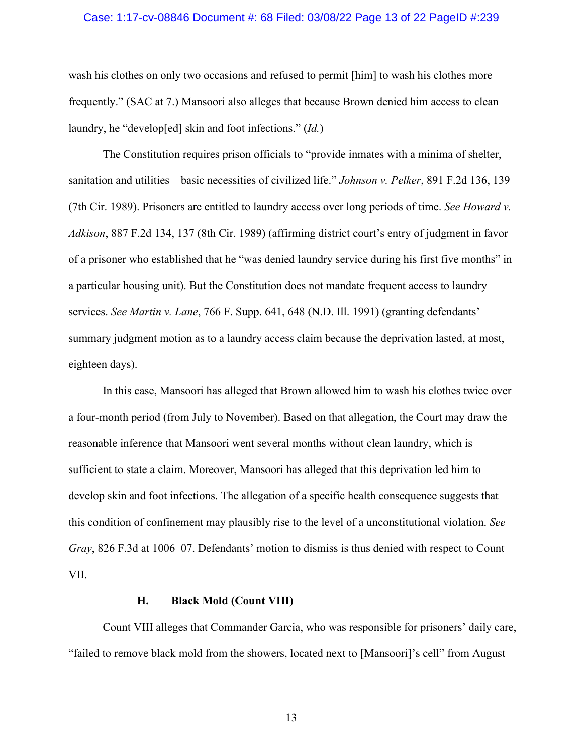### Case: 1:17-cv-08846 Document #: 68 Filed: 03/08/22 Page 13 of 22 PageID #:239

wash his clothes on only two occasions and refused to permit [him] to wash his clothes more frequently." (SAC at 7.) Mansoori also alleges that because Brown denied him access to clean laundry, he "develop[ed] skin and foot infections." (*Id.*)

The Constitution requires prison officials to "provide inmates with a minima of shelter, sanitation and utilities—basic necessities of civilized life." *Johnson v. Pelker*, 891 F.2d 136, 139 (7th Cir. 1989). Prisoners are entitled to laundry access over long periods of time. *See Howard v. Adkison*, 887 F.2d 134, 137 (8th Cir. 1989) (affirming district court's entry of judgment in favor of a prisoner who established that he "was denied laundry service during his first five months" in a particular housing unit). But the Constitution does not mandate frequent access to laundry services. *See Martin v. Lane*, 766 F. Supp. 641, 648 (N.D. Ill. 1991) (granting defendants' summary judgment motion as to a laundry access claim because the deprivation lasted, at most, eighteen days).

In this case, Mansoori has alleged that Brown allowed him to wash his clothes twice over a four-month period (from July to November). Based on that allegation, the Court may draw the reasonable inference that Mansoori went several months without clean laundry, which is sufficient to state a claim. Moreover, Mansoori has alleged that this deprivation led him to develop skin and foot infections. The allegation of a specific health consequence suggests that this condition of confinement may plausibly rise to the level of a unconstitutional violation. *See Gray*, 826 F.3d at 1006–07. Defendants' motion to dismiss is thus denied with respect to Count VII.

## **H. Black Mold (Count VIII)**

Count VIII alleges that Commander Garcia, who was responsible for prisoners' daily care, "failed to remove black mold from the showers, located next to [Mansoori]'s cell" from August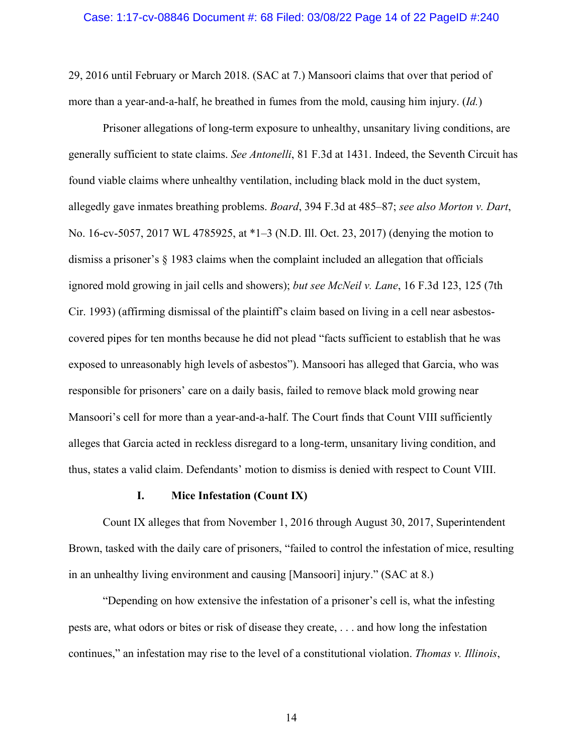### Case: 1:17-cv-08846 Document #: 68 Filed: 03/08/22 Page 14 of 22 PageID #:240

29, 2016 until February or March 2018. (SAC at 7.) Mansoori claims that over that period of more than a year-and-a-half, he breathed in fumes from the mold, causing him injury. (*Id.*)

Prisoner allegations of long-term exposure to unhealthy, unsanitary living conditions, are generally sufficient to state claims. *See Antonelli*, 81 F.3d at 1431. Indeed, the Seventh Circuit has found viable claims where unhealthy ventilation, including black mold in the duct system, allegedly gave inmates breathing problems. *Board*, 394 F.3d at 485–87; *see also Morton v. Dart*, No. 16-cv-5057, 2017 WL 4785925, at \*1–3 (N.D. Ill. Oct. 23, 2017) (denying the motion to dismiss a prisoner's § 1983 claims when the complaint included an allegation that officials ignored mold growing in jail cells and showers); *but see McNeil v. Lane*, 16 F.3d 123, 125 (7th Cir. 1993) (affirming dismissal of the plaintiff's claim based on living in a cell near asbestoscovered pipes for ten months because he did not plead "facts sufficient to establish that he was exposed to unreasonably high levels of asbestos"). Mansoori has alleged that Garcia, who was responsible for prisoners' care on a daily basis, failed to remove black mold growing near Mansoori's cell for more than a year-and-a-half. The Court finds that Count VIII sufficiently alleges that Garcia acted in reckless disregard to a long-term, unsanitary living condition, and thus, states a valid claim. Defendants' motion to dismiss is denied with respect to Count VIII.

## **I. Mice Infestation (Count IX)**

Count IX alleges that from November 1, 2016 through August 30, 2017, Superintendent Brown, tasked with the daily care of prisoners, "failed to control the infestation of mice, resulting in an unhealthy living environment and causing [Mansoori] injury." (SAC at 8.)

"Depending on how extensive the infestation of a prisoner's cell is, what the infesting pests are, what odors or bites or risk of disease they create, . . . and how long the infestation continues," an infestation may rise to the level of a constitutional violation. *Thomas v. Illinois*,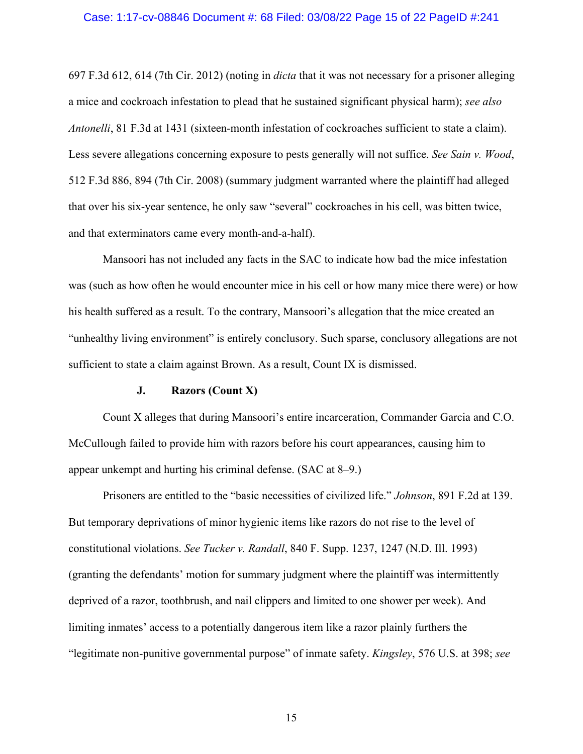## Case: 1:17-cv-08846 Document #: 68 Filed: 03/08/22 Page 15 of 22 PageID #:241

697 F.3d 612, 614 (7th Cir. 2012) (noting in *dicta* that it was not necessary for a prisoner alleging a mice and cockroach infestation to plead that he sustained significant physical harm); *see also Antonelli*, 81 F.3d at 1431 (sixteen-month infestation of cockroaches sufficient to state a claim). Less severe allegations concerning exposure to pests generally will not suffice. *See Sain v. Wood*, 512 F.3d 886, 894 (7th Cir. 2008) (summary judgment warranted where the plaintiff had alleged that over his six-year sentence, he only saw "several" cockroaches in his cell, was bitten twice, and that exterminators came every month-and-a-half).

Mansoori has not included any facts in the SAC to indicate how bad the mice infestation was (such as how often he would encounter mice in his cell or how many mice there were) or how his health suffered as a result. To the contrary, Mansoori's allegation that the mice created an "unhealthy living environment" is entirely conclusory. Such sparse, conclusory allegations are not sufficient to state a claim against Brown. As a result, Count IX is dismissed.

## **J. Razors (Count X)**

Count X alleges that during Mansoori's entire incarceration, Commander Garcia and C.O. McCullough failed to provide him with razors before his court appearances, causing him to appear unkempt and hurting his criminal defense. (SAC at 8–9.)

Prisoners are entitled to the "basic necessities of civilized life." *Johnson*, 891 F.2d at 139. But temporary deprivations of minor hygienic items like razors do not rise to the level of constitutional violations. *See Tucker v. Randall*, 840 F. Supp. 1237, 1247 (N.D. Ill. 1993) (granting the defendants' motion for summary judgment where the plaintiff was intermittently deprived of a razor, toothbrush, and nail clippers and limited to one shower per week). And limiting inmates' access to a potentially dangerous item like a razor plainly furthers the "legitimate non-punitive governmental purpose" of inmate safety. *Kingsley*, 576 U.S. at 398; *see*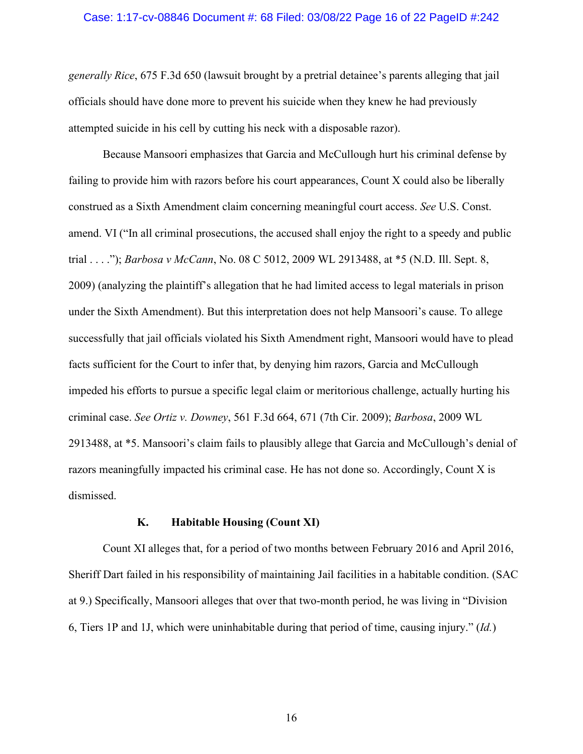## Case: 1:17-cv-08846 Document #: 68 Filed: 03/08/22 Page 16 of 22 PageID #:242

*generally Rice*, 675 F.3d 650 (lawsuit brought by a pretrial detainee's parents alleging that jail officials should have done more to prevent his suicide when they knew he had previously attempted suicide in his cell by cutting his neck with a disposable razor).

Because Mansoori emphasizes that Garcia and McCullough hurt his criminal defense by failing to provide him with razors before his court appearances, Count X could also be liberally construed as a Sixth Amendment claim concerning meaningful court access. *See* U.S. Const. amend. VI ("In all criminal prosecutions, the accused shall enjoy the right to a speedy and public trial . . . ."); *Barbosa v McCann*, No. 08 C 5012, 2009 WL 2913488, at \*5 (N.D. Ill. Sept. 8, 2009) (analyzing the plaintiff's allegation that he had limited access to legal materials in prison under the Sixth Amendment). But this interpretation does not help Mansoori's cause. To allege successfully that jail officials violated his Sixth Amendment right, Mansoori would have to plead facts sufficient for the Court to infer that, by denying him razors, Garcia and McCullough impeded his efforts to pursue a specific legal claim or meritorious challenge, actually hurting his criminal case. *See Ortiz v. Downey*, 561 F.3d 664, 671 (7th Cir. 2009); *Barbosa*, 2009 WL 2913488, at \*5. Mansoori's claim fails to plausibly allege that Garcia and McCullough's denial of razors meaningfully impacted his criminal case. He has not done so. Accordingly, Count X is dismissed.

### **K. Habitable Housing (Count XI)**

Count XI alleges that, for a period of two months between February 2016 and April 2016, Sheriff Dart failed in his responsibility of maintaining Jail facilities in a habitable condition. (SAC at 9.) Specifically, Mansoori alleges that over that two-month period, he was living in "Division 6, Tiers 1P and 1J, which were uninhabitable during that period of time, causing injury." (*Id.*)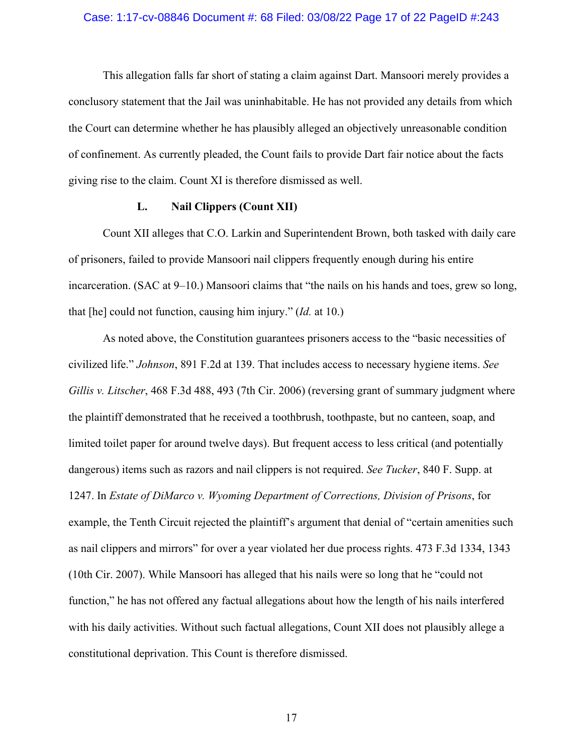## Case: 1:17-cv-08846 Document #: 68 Filed: 03/08/22 Page 17 of 22 PageID #:243

This allegation falls far short of stating a claim against Dart. Mansoori merely provides a conclusory statement that the Jail was uninhabitable. He has not provided any details from which the Court can determine whether he has plausibly alleged an objectively unreasonable condition of confinement. As currently pleaded, the Count fails to provide Dart fair notice about the facts giving rise to the claim. Count XI is therefore dismissed as well.

## **L. Nail Clippers (Count XII)**

Count XII alleges that C.O. Larkin and Superintendent Brown, both tasked with daily care of prisoners, failed to provide Mansoori nail clippers frequently enough during his entire incarceration. (SAC at 9–10.) Mansoori claims that "the nails on his hands and toes, grew so long, that [he] could not function, causing him injury." (*Id.* at 10.)

As noted above, the Constitution guarantees prisoners access to the "basic necessities of civilized life." *Johnson*, 891 F.2d at 139. That includes access to necessary hygiene items. *See Gillis v. Litscher*, 468 F.3d 488, 493 (7th Cir. 2006) (reversing grant of summary judgment where the plaintiff demonstrated that he received a toothbrush, toothpaste, but no canteen, soap, and limited toilet paper for around twelve days). But frequent access to less critical (and potentially dangerous) items such as razors and nail clippers is not required. *See Tucker*, 840 F. Supp. at 1247. In *Estate of DiMarco v. Wyoming Department of Corrections, Division of Prisons*, for example, the Tenth Circuit rejected the plaintiff's argument that denial of "certain amenities such as nail clippers and mirrors" for over a year violated her due process rights. 473 F.3d 1334, 1343 (10th Cir. 2007). While Mansoori has alleged that his nails were so long that he "could not function," he has not offered any factual allegations about how the length of his nails interfered with his daily activities. Without such factual allegations, Count XII does not plausibly allege a constitutional deprivation. This Count is therefore dismissed.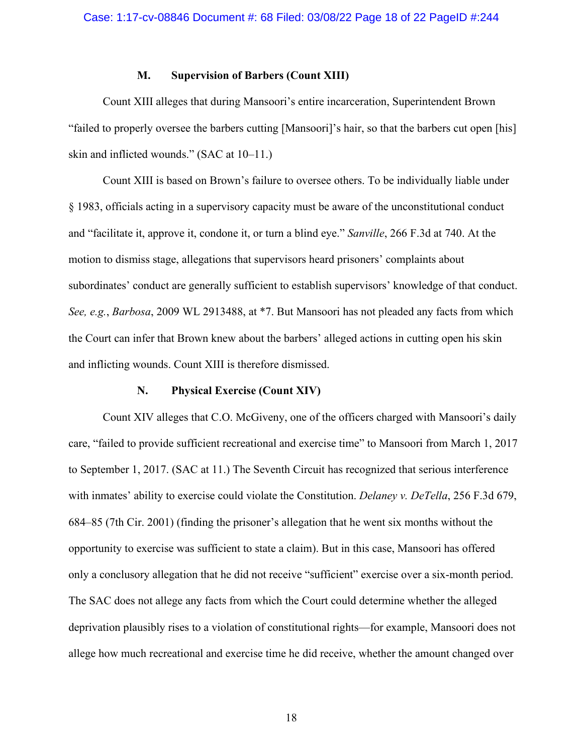## **M. Supervision of Barbers (Count XIII)**

Count XIII alleges that during Mansoori's entire incarceration, Superintendent Brown "failed to properly oversee the barbers cutting [Mansoori]'s hair, so that the barbers cut open [his] skin and inflicted wounds." (SAC at 10–11.)

Count XIII is based on Brown's failure to oversee others. To be individually liable under § 1983, officials acting in a supervisory capacity must be aware of the unconstitutional conduct and "facilitate it, approve it, condone it, or turn a blind eye." *Sanville*, 266 F.3d at 740. At the motion to dismiss stage, allegations that supervisors heard prisoners' complaints about subordinates' conduct are generally sufficient to establish supervisors' knowledge of that conduct. *See, e.g.*, *Barbosa*, 2009 WL 2913488, at \*7. But Mansoori has not pleaded any facts from which the Court can infer that Brown knew about the barbers' alleged actions in cutting open his skin and inflicting wounds. Count XIII is therefore dismissed.

## **N. Physical Exercise (Count XIV)**

Count XIV alleges that C.O. McGiveny, one of the officers charged with Mansoori's daily care, "failed to provide sufficient recreational and exercise time" to Mansoori from March 1, 2017 to September 1, 2017. (SAC at 11.) The Seventh Circuit has recognized that serious interference with inmates' ability to exercise could violate the Constitution. *Delaney v. DeTella*, 256 F.3d 679, 684–85 (7th Cir. 2001) (finding the prisoner's allegation that he went six months without the opportunity to exercise was sufficient to state a claim). But in this case, Mansoori has offered only a conclusory allegation that he did not receive "sufficient" exercise over a six-month period. The SAC does not allege any facts from which the Court could determine whether the alleged deprivation plausibly rises to a violation of constitutional rights—for example, Mansoori does not allege how much recreational and exercise time he did receive, whether the amount changed over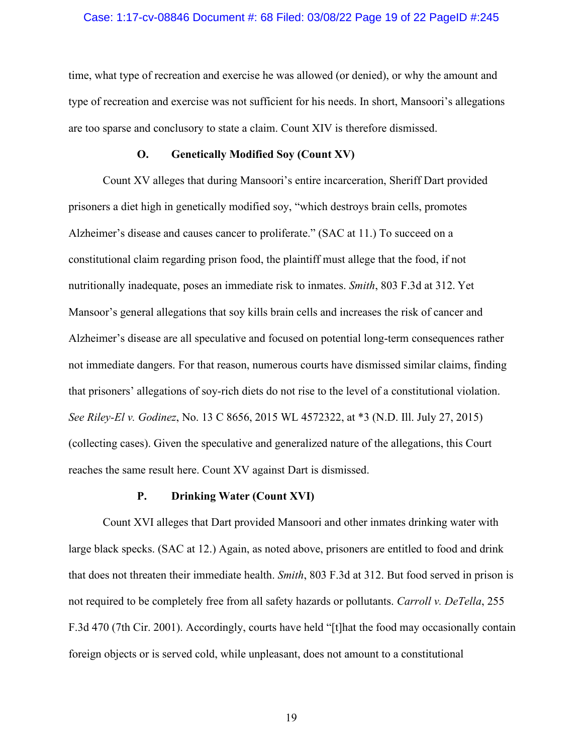### Case: 1:17-cv-08846 Document #: 68 Filed: 03/08/22 Page 19 of 22 PageID #:245

time, what type of recreation and exercise he was allowed (or denied), or why the amount and type of recreation and exercise was not sufficient for his needs. In short, Mansoori's allegations are too sparse and conclusory to state a claim. Count XIV is therefore dismissed.

## **O. Genetically Modified Soy (Count XV)**

Count XV alleges that during Mansoori's entire incarceration, Sheriff Dart provided prisoners a diet high in genetically modified soy, "which destroys brain cells, promotes Alzheimer's disease and causes cancer to proliferate." (SAC at 11.) To succeed on a constitutional claim regarding prison food, the plaintiff must allege that the food, if not nutritionally inadequate, poses an immediate risk to inmates. *Smith*, 803 F.3d at 312. Yet Mansoor's general allegations that soy kills brain cells and increases the risk of cancer and Alzheimer's disease are all speculative and focused on potential long-term consequences rather not immediate dangers. For that reason, numerous courts have dismissed similar claims, finding that prisoners' allegations of soy-rich diets do not rise to the level of a constitutional violation. *See Riley-El v. Godinez*, No. 13 C 8656, 2015 WL 4572322, at \*3 (N.D. Ill. July 27, 2015) (collecting cases). Given the speculative and generalized nature of the allegations, this Court reaches the same result here. Count XV against Dart is dismissed.

#### **P. Drinking Water (Count XVI)**

Count XVI alleges that Dart provided Mansoori and other inmates drinking water with large black specks. (SAC at 12.) Again, as noted above, prisoners are entitled to food and drink that does not threaten their immediate health. *Smith*, 803 F.3d at 312. But food served in prison is not required to be completely free from all safety hazards or pollutants. *Carroll v. DeTella*, 255 F.3d 470 (7th Cir. 2001). Accordingly, courts have held "[t]hat the food may occasionally contain foreign objects or is served cold, while unpleasant, does not amount to a constitutional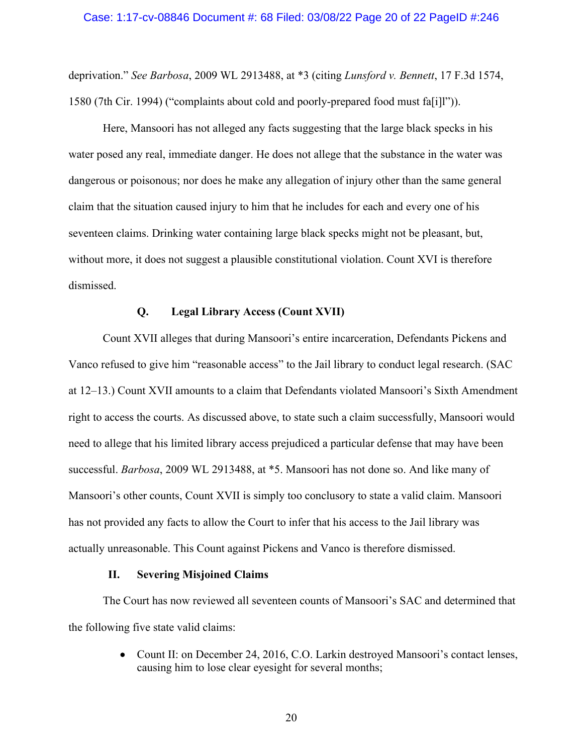deprivation." *See Barbosa*, 2009 WL 2913488, at \*3 (citing *Lunsford v. Bennett*, 17 F.3d 1574, 1580 (7th Cir. 1994) ("complaints about cold and poorly-prepared food must fa[i]l")).

Here, Mansoori has not alleged any facts suggesting that the large black specks in his water posed any real, immediate danger. He does not allege that the substance in the water was dangerous or poisonous; nor does he make any allegation of injury other than the same general claim that the situation caused injury to him that he includes for each and every one of his seventeen claims. Drinking water containing large black specks might not be pleasant, but, without more, it does not suggest a plausible constitutional violation. Count XVI is therefore dismissed.

## **Q. Legal Library Access (Count XVII)**

Count XVII alleges that during Mansoori's entire incarceration, Defendants Pickens and Vanco refused to give him "reasonable access" to the Jail library to conduct legal research. (SAC at 12–13.) Count XVII amounts to a claim that Defendants violated Mansoori's Sixth Amendment right to access the courts. As discussed above, to state such a claim successfully, Mansoori would need to allege that his limited library access prejudiced a particular defense that may have been successful. *Barbosa*, 2009 WL 2913488, at \*5. Mansoori has not done so. And like many of Mansoori's other counts, Count XVII is simply too conclusory to state a valid claim. Mansoori has not provided any facts to allow the Court to infer that his access to the Jail library was actually unreasonable. This Count against Pickens and Vanco is therefore dismissed.

## **II. Severing Misjoined Claims**

The Court has now reviewed all seventeen counts of Mansoori's SAC and determined that the following five state valid claims:

> • Count II: on December 24, 2016, C.O. Larkin destroyed Mansoori's contact lenses, causing him to lose clear eyesight for several months;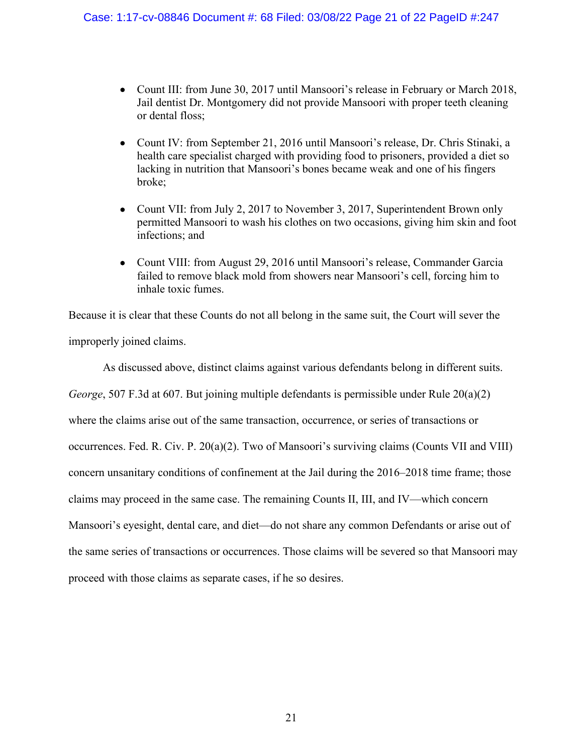- Count III: from June 30, 2017 until Mansoori's release in February or March 2018, Jail dentist Dr. Montgomery did not provide Mansoori with proper teeth cleaning or dental floss;
- Count IV: from September 21, 2016 until Mansoori's release, Dr. Chris Stinaki, a health care specialist charged with providing food to prisoners, provided a diet so lacking in nutrition that Mansoori's bones became weak and one of his fingers broke;
- Count VII: from July 2, 2017 to November 3, 2017, Superintendent Brown only permitted Mansoori to wash his clothes on two occasions, giving him skin and foot infections; and
- Count VIII: from August 29, 2016 until Mansoori's release, Commander Garcia failed to remove black mold from showers near Mansoori's cell, forcing him to inhale toxic fumes.

Because it is clear that these Counts do not all belong in the same suit, the Court will sever the improperly joined claims.

As discussed above, distinct claims against various defendants belong in different suits. *George*, 507 F.3d at 607. But joining multiple defendants is permissible under Rule 20(a)(2) where the claims arise out of the same transaction, occurrence, or series of transactions or occurrences. Fed. R. Civ. P. 20(a)(2). Two of Mansoori's surviving claims (Counts VII and VIII) concern unsanitary conditions of confinement at the Jail during the 2016–2018 time frame; those claims may proceed in the same case. The remaining Counts II, III, and IV—which concern Mansoori's eyesight, dental care, and diet—do not share any common Defendants or arise out of the same series of transactions or occurrences. Those claims will be severed so that Mansoori may proceed with those claims as separate cases, if he so desires.